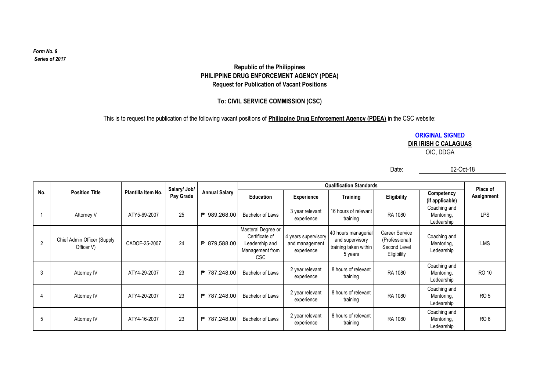#### $Form No. 9$ *Series of 2017*

# **Republic of the Philippines PHILIPPINE DRUG ENFORCEMENT AGENCY (PDEA) Request for Publication of Vacant Positions**

# **To: CIVIL SERVICE COMMISSION (CSC)**

This is to request the publication of the following vacant positions of **Philippine Drug Enforcement Agency (PDEA)** in the CSC website:

**ORIGINAL SIGNED DIR IRISH C CALAGUAS**

OIC, DDGA

Date:

02-Oct-18

|     |                                           |                    | Salary/ Job/ | <b>Annual Salary</b> |                                                                                   | <b>Qualification Standards</b>                      |                                                                            |                                                                        |                                          |                        |  |
|-----|-------------------------------------------|--------------------|--------------|----------------------|-----------------------------------------------------------------------------------|-----------------------------------------------------|----------------------------------------------------------------------------|------------------------------------------------------------------------|------------------------------------------|------------------------|--|
| No. | <b>Position Title</b>                     | Plantilla Item No. | Pay Grade    |                      | Education                                                                         | Experience                                          | <b>Training</b>                                                            | Eligibility                                                            | Competency<br>(if applicable)            | Place of<br>Assignment |  |
|     | Attorney V                                | ATY5-69-2007       | 25           | ₱ 989,268.00         | Bachelor of Laws                                                                  | 3 year relevant<br>experience                       | 16 hours of relevant<br>training                                           | RA 1080                                                                | Coaching and<br>Mentoring,<br>Ledearship | <b>LPS</b>             |  |
| 2   | Chief Admin Officer (Supply<br>Officer V) | CADOF-25-2007      | 24           | ₱ 879,588.00         | Masteral Degree or<br>Certificate of<br>Leadership and<br>Management from<br>CSC. | 4 years supervisory<br>and management<br>experience | 40 hours managerial<br>and supervisory<br>training taken within<br>5 years | <b>Career Service</b><br>(Professional)<br>Second Level<br>Eligibility | Coaching and<br>Mentoring,<br>Ledearship | <b>LMS</b>             |  |
| 3   | Attorney IV                               | ATY4-29-2007       | 23           | ₱ 787,248.00         | Bachelor of Laws                                                                  | 2 year relevant<br>experience                       | 8 hours of relevant<br>training                                            | RA 1080                                                                | Coaching and<br>Mentoring,<br>Ledearship | <b>RO 10</b>           |  |
| 4   | Attorney IV                               | ATY4-20-2007       | 23           | ₱ 787,248.00         | Bachelor of Laws                                                                  | 2 year relevant<br>experience                       | 8 hours of relevant<br>training                                            | RA 1080                                                                | Coaching and<br>Mentoring,<br>Ledearship | RO <sub>5</sub>        |  |
| 5   | Attorney IV                               | ATY4-16-2007       | 23           | ₱ 787,248.00         | Bachelor of Laws                                                                  | 2 year relevant<br>experience                       | 8 hours of relevant<br>training                                            | RA 1080                                                                | Coaching and<br>Mentoring,<br>Ledearship | RO <sub>6</sub>        |  |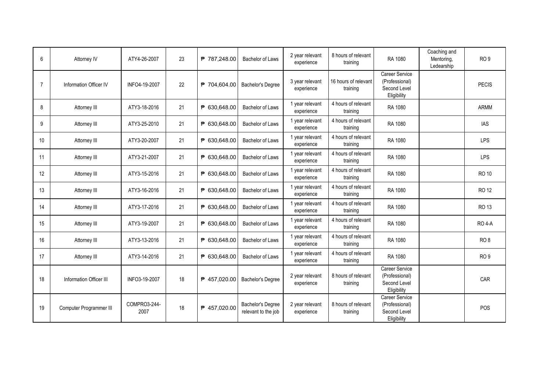| 6              | Attorney IV             | ATY4-26-2007         | 23 | ₱ 787,248.00 | <b>Bachelor of Laws</b>                         | 2 year relevant<br>experience | 8 hours of relevant<br>training  | RA 1080                                                                | Coaching and<br>Mentoring,<br>Ledearship | RO <sub>9</sub> |
|----------------|-------------------------|----------------------|----|--------------|-------------------------------------------------|-------------------------------|----------------------------------|------------------------------------------------------------------------|------------------------------------------|-----------------|
| $\overline{7}$ | Information Officer IV  | INFO4-19-2007        | 22 | ₱ 704,604.00 | <b>Bachelor's Degree</b>                        | 3 year relevant<br>experience | 16 hours of relevant<br>training | Career Service<br>(Professional)<br>Second Level<br>Eligibility        |                                          | <b>PECIS</b>    |
| 8              | Attorney III            | ATY3-18-2016         | 21 | ₱ 630,648.00 | Bachelor of Laws                                | 1 year relevant<br>experience | 4 hours of relevant<br>training  | RA 1080                                                                |                                          | ARMM            |
| 9              | Attorney III            | ATY3-25-2010         | 21 | ₱ 630,648.00 | Bachelor of Laws                                | 1 year relevant<br>experience | 4 hours of relevant<br>training  | RA 1080                                                                |                                          | <b>IAS</b>      |
| 10             | Attorney III            | ATY3-20-2007         | 21 | ₱ 630.648.00 | Bachelor of Laws                                | 1 year relevant<br>experience | 4 hours of relevant<br>training  | RA 1080                                                                |                                          | <b>LPS</b>      |
| 11             | Attorney III            | ATY3-21-2007         | 21 | ₱ 630,648.00 | Bachelor of Laws                                | 1 year relevant<br>experience | 4 hours of relevant<br>training  | RA 1080                                                                |                                          | LPS             |
| 12             | Attorney III            | ATY3-15-2016         | 21 | ₱ 630,648.00 | Bachelor of Laws                                | 1 year relevant<br>experience | 4 hours of relevant<br>training  | RA 1080                                                                |                                          | <b>RO 10</b>    |
| 13             | Attorney III            | ATY3-16-2016         | 21 | ₱ 630,648.00 | Bachelor of Laws                                | 1 year relevant<br>experience | 4 hours of relevant<br>training  | RA 1080                                                                |                                          | <b>RO12</b>     |
| 14             | Attorney III            | ATY3-17-2016         | 21 | ₱ 630,648.00 | Bachelor of Laws                                | 1 year relevant<br>experience | 4 hours of relevant<br>training  | RA 1080                                                                |                                          | <b>RO13</b>     |
| 15             | Attorney III            | ATY3-19-2007         | 21 | ₱ 630,648.00 | <b>Bachelor of Laws</b>                         | 1 year relevant<br>experience | 4 hours of relevant<br>training  | RA 1080                                                                |                                          | <b>RO 4-A</b>   |
| 16             | Attorney III            | ATY3-13-2016         | 21 | ₱ 630,648.00 | Bachelor of Laws                                | 1 year relevant<br>experience | 4 hours of relevant<br>training  | RA 1080                                                                |                                          | RO <sub>8</sub> |
| 17             | Attorney III            | ATY3-14-2016         | 21 | ₱ 630.648.00 | Bachelor of Laws                                | 1 year relevant<br>experience | 4 hours of relevant<br>training  | RA 1080                                                                |                                          | RO <sub>9</sub> |
| 18             | Information Officer III | INFO3-19-2007        | 18 | ₱ 457.020.00 | <b>Bachelor's Degree</b>                        | 2 year relevant<br>experience | 8 hours of relevant<br>training  | <b>Career Service</b><br>(Professional)<br>Second Level<br>Eligibility |                                          | CAR             |
| 19             | Computer Programmer III | COMPRO3-244-<br>2007 | 18 | ₱ 457,020.00 | <b>Bachelor's Degree</b><br>relevant to the job | 2 year relevant<br>experience | 8 hours of relevant<br>training  | Career Service<br>(Professional)<br>Second Level<br>Eligibility        |                                          | POS             |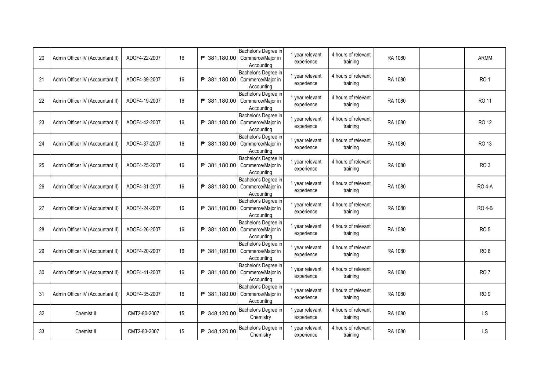| 20 | Admin Officer IV (Accountant II) | ADOF4-22-2007 | 16 |                       | Bachelor's Degree in<br>₱ 381,180.00 Commerce/Major in<br>Accounting | 1 year relevant<br>experience | 4 hours of relevant<br>training | RA 1080 | <b>ARMM</b>     |
|----|----------------------------------|---------------|----|-----------------------|----------------------------------------------------------------------|-------------------------------|---------------------------------|---------|-----------------|
| 21 | Admin Officer IV (Accountant II) | ADOF4-39-2007 | 16 | ₱ 381,180.00          | Bachelor's Degree in<br>Commerce/Major in<br>Accounting              | 1 year relevant<br>experience | 4 hours of relevant<br>training | RA 1080 | RO <sub>1</sub> |
| 22 | Admin Officer IV (Accountant II) | ADOF4-19-2007 | 16 | ₱ 381,180.00          | Bachelor's Degree in<br>Commerce/Major in<br>Accounting              | 1 year relevant<br>experience | 4 hours of relevant<br>training | RA 1080 | RO 11           |
| 23 | Admin Officer IV (Accountant II) | ADOF4-42-2007 | 16 | ₱ 381,180.00          | Bachelor's Degree in<br>Commerce/Major in<br>Accounting              | 1 year relevant<br>experience | 4 hours of relevant<br>training | RA 1080 | <b>RO 12</b>    |
| 24 | Admin Officer IV (Accountant II) | ADOF4-37-2007 | 16 | ₱ 381,180.00          | Bachelor's Degree in<br>Commerce/Major in<br>Accounting              | 1 year relevant<br>experience | 4 hours of relevant<br>training | RA 1080 | RO 13           |
| 25 | Admin Officer IV (Accountant II) | ADOF4-25-2007 | 16 | ₱ 381,180.00          | Bachelor's Degree in<br>Commerce/Major in<br>Accounting              | 1 year relevant<br>experience | 4 hours of relevant<br>training | RA 1080 | RO <sub>3</sub> |
| 26 | Admin Officer IV (Accountant II) | ADOF4-31-2007 | 16 | ₱ 381,180.00          | Bachelor's Degree in<br>Commerce/Major in<br>Accounting              | 1 year relevant<br>experience | 4 hours of relevant<br>training | RA 1080 | <b>RO 4-A</b>   |
| 27 | Admin Officer IV (Accountant II) | ADOF4-24-2007 | 16 | $\sqrt{P}$ 381,180.00 | Bachelor's Degree in<br>Commerce/Major in<br>Accounting              | 1 year relevant<br>experience | 4 hours of relevant<br>training | RA 1080 | <b>RO 4-B</b>   |
| 28 | Admin Officer IV (Accountant II) | ADOF4-26-2007 | 16 | ₱ 381,180.00          | Bachelor's Degree in<br>Commerce/Major in<br>Accounting              | 1 year relevant<br>experience | 4 hours of relevant<br>training | RA 1080 | RO <sub>5</sub> |
| 29 | Admin Officer IV (Accountant II) | ADOF4-20-2007 | 16 | ₱ 381,180.00          | Bachelor's Degree in<br>Commerce/Major in<br>Accounting              | 1 year relevant<br>experience | 4 hours of relevant<br>training | RA 1080 | RO <sub>6</sub> |
| 30 | Admin Officer IV (Accountant II) | ADOF4-41-2007 | 16 | ₱ 381,180.00          | Bachelor's Degree in<br>Commerce/Major in<br>Accounting              | 1 year relevant<br>experience | 4 hours of relevant<br>training | RA 1080 | RO <sub>7</sub> |
| 31 | Admin Officer IV (Accountant II) | ADOF4-35-2007 | 16 | ₱ 381,180.00          | Bachelor's Degree in<br>Commerce/Major in<br>Accounting              | 1 year relevant<br>experience | 4 hours of relevant<br>training | RA 1080 | RO <sub>9</sub> |
| 32 | Chemist II                       | CMT2-80-2007  | 15 | ₱ 348,120.00          | Bachelor's Degree in<br>Chemistry                                    | 1 year relevant<br>experience | 4 hours of relevant<br>training | RA 1080 | LS              |
| 33 | Chemist II                       | CMT2-83-2007  | 15 | ₱ 348,120.00          | Bachelor's Degree in<br>Chemistry                                    | 1 year relevant<br>experience | 4 hours of relevant<br>training | RA 1080 | LS              |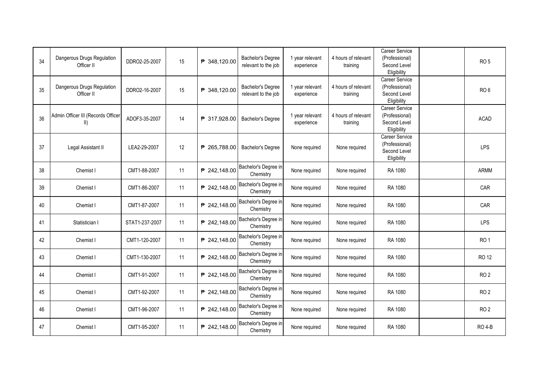| 34 | Dangerous Drugs Regulation<br>Officer II          | DDRO2-25-2007  | 15 | ₱ 348,120.00 | <b>Bachelor's Degree</b><br>relevant to the job | 1 year relevant<br>experience | 4 hours of relevant<br>training | Career Service<br>(Professional)<br>Second Level<br>Eligibility        | RO <sub>5</sub> |
|----|---------------------------------------------------|----------------|----|--------------|-------------------------------------------------|-------------------------------|---------------------------------|------------------------------------------------------------------------|-----------------|
| 35 | Dangerous Drugs Regulation<br>Officer II          | DDRO2-16-2007  | 15 | ₱ 348.120.00 | <b>Bachelor's Degree</b><br>relevant to the job | 1 year relevant<br>experience | 4 hours of relevant<br>training | Career Service<br>(Professional)<br>Second Level<br>Eligibility        | RO <sub>6</sub> |
| 36 | Admin Officer III (Records Officer<br>$\parallel$ | ADOF3-35-2007  | 14 | ₱ 317,928.00 | <b>Bachelor's Degree</b>                        | 1 year relevant<br>experience | 4 hours of relevant<br>training | <b>Career Service</b><br>(Professional)<br>Second Level<br>Eligibility | <b>ACAD</b>     |
| 37 | Legal Assistant II                                | LEA2-29-2007   | 12 | ₱ 265,788.00 | <b>Bachelor's Degree</b>                        | None required                 | None required                   | <b>Career Service</b><br>(Professional)<br>Second Level<br>Eligibility | LPS             |
| 38 | Chemist I                                         | CMT1-88-2007   | 11 | ₱ 242,148.00 | Bachelor's Degree in<br>Chemistry               | None required                 | None required                   | RA 1080                                                                | <b>ARMM</b>     |
| 39 | Chemist I                                         | CMT1-86-2007   | 11 | ₱ 242,148.00 | Bachelor's Degree in<br>Chemistry               | None required                 | None required                   | RA 1080                                                                | CAR             |
| 40 | Chemist I                                         | CMT1-87-2007   | 11 | ₱ 242,148.00 | Bachelor's Degree in<br>Chemistry               | None required                 | None required                   | RA 1080                                                                | CAR             |
| 41 | Statistician I                                    | STAT1-237-2007 | 11 | ₱ 242,148.00 | Bachelor's Degree in<br>Chemistry               | None required                 | None required                   | RA 1080                                                                | LPS             |
| 42 | Chemist I                                         | CMT1-120-2007  | 11 | ₱ 242,148.00 | Bachelor's Degree in<br>Chemistry               | None required                 | None required                   | RA 1080                                                                | RO <sub>1</sub> |
| 43 | Chemist I                                         | CMT1-130-2007  | 11 | ₱ 242,148.00 | Bachelor's Degree in<br>Chemistry               | None required                 | None required                   | RA 1080                                                                | <b>RO 12</b>    |
| 44 | Chemist I                                         | CMT1-91-2007   | 11 | ₱ 242,148.00 | Bachelor's Degree in<br>Chemistry               | None required                 | None required                   | RA 1080                                                                | <b>RO2</b>      |
| 45 | Chemist I                                         | CMT1-92-2007   | 11 | ₱ 242,148.00 | Bachelor's Degree in<br>Chemistry               | None required                 | None required                   | RA 1080                                                                | RO <sub>2</sub> |
| 46 | Chemist I                                         | CMT1-96-2007   | 11 | ₱ 242,148.00 | Bachelor's Degree in<br>Chemistry               | None required                 | None required                   | RA 1080                                                                | RO <sub>2</sub> |
| 47 | Chemist I                                         | CMT1-95-2007   | 11 | ₱ 242,148.00 | Bachelor's Degree in<br>Chemistry               | None required                 | None required                   | RA 1080                                                                | <b>RO 4-B</b>   |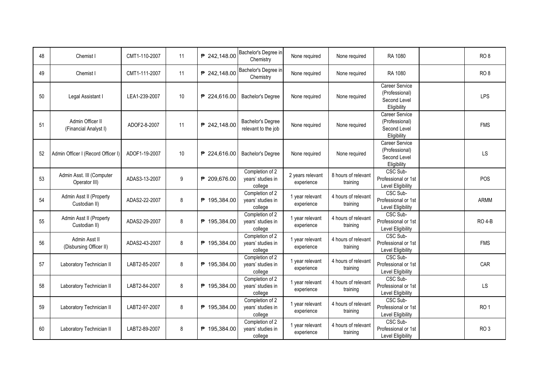| 48 | Chemist I                                  | CMT1-110-2007 | 11      | ₱ 242,148.00 | Bachelor's Degree in<br>Chemistry               | None required                  | None required                   | RA 1080                                                         | RO <sub>8</sub> |
|----|--------------------------------------------|---------------|---------|--------------|-------------------------------------------------|--------------------------------|---------------------------------|-----------------------------------------------------------------|-----------------|
| 49 | Chemist I                                  | CMT1-111-2007 | 11      | ₱ 242,148.00 | Bachelor's Degree in<br>Chemistry               | None required                  | None required                   | RA 1080                                                         | RO <sub>8</sub> |
| 50 | Legal Assistant I                          | LEA1-239-2007 | 10      | ₱ 224,616.00 | Bachelor's Degree                               | None required                  | None required                   | Career Service<br>(Professional)<br>Second Level<br>Eligibility | <b>LPS</b>      |
| 51 | Admin Officer II<br>(Financial Analyst I)  | ADOF2-8-2007  | 11      | ₱ 242,148.00 | Bachelor's Degree<br>relevant to the job        | None required                  | None required                   | Career Service<br>(Professional)<br>Second Level<br>Eligibility | <b>FMS</b>      |
| 52 | Admin Officer I (Record Officer I)         | ADOF1-19-2007 | 10      | ₱ 224,616.00 | <b>Bachelor's Degree</b>                        | None required                  | None required                   | Career Service<br>(Professional)<br>Second Level<br>Eligibility | LS              |
| 53 | Admin Asst. III (Computer<br>Operator III) | ADAS3-13-2007 | 9       | ₱ 209,676.00 | Completion of 2<br>years' studies in<br>college | 2 years relevant<br>experience | 8 hours of relevant<br>training | CSC Sub-<br>Professional or 1st<br>Level Eligibility            | POS             |
| 54 | Admin Asst II (Property<br>Custodian II)   | ADAS2-22-2007 | 8       | ₱ 195,384.00 | Completion of 2<br>years' studies in<br>college | 1 year relevant<br>experience  | 4 hours of relevant<br>training | CSC Sub-<br>Professional or 1st<br>Level Eligibility            | <b>ARMM</b>     |
| 55 | Admin Asst II (Property<br>Custodian II)   | ADAS2-29-2007 | 8       | ₱ 195,384.00 | Completion of 2<br>years' studies in<br>college | 1 year relevant<br>experience  | 4 hours of relevant<br>training | CSC Sub-<br>Professional or 1st<br>Level Eligibility            | <b>RO 4-B</b>   |
| 56 | Admin Asst II<br>(Disbursing Officer II)   | ADAS2-43-2007 | $\bf 8$ | ₱ 195,384.00 | Completion of 2<br>years' studies in<br>college | 1 year relevant<br>experience  | 4 hours of relevant<br>training | CSC Sub-<br>Professional or 1st<br><b>Level Eligibility</b>     | <b>FMS</b>      |
| 57 | Laboratory Technician II                   | LABT2-85-2007 | 8       | ₱ 195,384.00 | Completion of 2<br>years' studies in<br>college | 1 year relevant<br>experience  | 4 hours of relevant<br>training | CSC Sub-<br>Professional or 1st<br><b>Level Eligibility</b>     | CAR             |
| 58 | Laboratory Technician II                   | LABT2-84-2007 | 8       | ₱ 195,384.00 | Completion of 2<br>years' studies in<br>college | 1 year relevant<br>experience  | 4 hours of relevant<br>training | CSC Sub-<br>Professional or 1st<br><b>Level Eligibility</b>     | LS              |
| 59 | Laboratory Technician II                   | LABT2-97-2007 | 8       | ₱ 195,384.00 | Completion of 2<br>years' studies in<br>college | 1 year relevant<br>experience  | 4 hours of relevant<br>training | CSC Sub-<br>Professional or 1st<br><b>Level Eligibility</b>     | RO <sub>1</sub> |
| 60 | Laboratory Technician II                   | LABT2-89-2007 | 8       | ₱ 195,384.00 | Completion of 2<br>years' studies in<br>college | 1 year relevant<br>experience  | 4 hours of relevant<br>training | CSC Sub-<br>Professional or 1st<br>Level Eligibility            | RO <sub>3</sub> |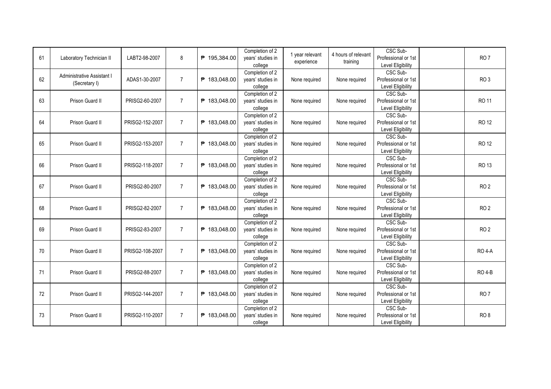| 61 | Laboratory Technician II                    | LABT2-98-2007   | 8              | ₱ 195,384.00 | Completion of 2<br>years' studies in<br>college | 1 year relevant<br>experience | 4 hours of relevant<br>training | CSC Sub-<br>Professional or 1st<br>Level Eligibility | RO <sub>7</sub> |
|----|---------------------------------------------|-----------------|----------------|--------------|-------------------------------------------------|-------------------------------|---------------------------------|------------------------------------------------------|-----------------|
| 62 | Administrative Assistant I<br>(Secretary I) | ADAS1-30-2007   | $\overline{7}$ | ₹ 183,048.00 | Completion of 2<br>years' studies in<br>college | None required                 | None required                   | CSC Sub-<br>Professional or 1st<br>Level Eligibility | RO <sub>3</sub> |
| 63 | Prison Guard II                             | PRISG2-60-2007  | $\overline{7}$ | ₱ 183,048.00 | Completion of 2<br>years' studies in<br>college | None required                 | None required                   | CSC Sub-<br>Professional or 1st<br>Level Eligibility | RO 11           |
| 64 | Prison Guard II                             | PRISG2-152-2007 | $\overline{7}$ | ₱ 183,048.00 | Completion of 2<br>years' studies in<br>college | None required                 | None required                   | CSC Sub-<br>Professional or 1st<br>Level Eligibility | RO 12           |
| 65 | Prison Guard II                             | PRISG2-153-2007 | $\overline{7}$ | ₱ 183,048.00 | Completion of 2<br>years' studies in<br>college | None required                 | None required                   | CSC Sub-<br>Professional or 1st<br>Level Eligibility | <b>RO12</b>     |
| 66 | Prison Guard II                             | PRISG2-118-2007 | $\overline{7}$ | ₱ 183,048.00 | Completion of 2<br>years' studies in<br>college | None required                 | None required                   | CSC Sub-<br>Professional or 1st<br>Level Eligibility | RO 13           |
| 67 | Prison Guard II                             | PRISG2-80-2007  | $\overline{7}$ | ₱ 183,048.00 | Completion of 2<br>years' studies in<br>college | None required                 | None required                   | CSC Sub-<br>Professional or 1st<br>Level Eligibility | RO <sub>2</sub> |
| 68 | Prison Guard II                             | PRISG2-82-2007  | $\overline{7}$ | ₱ 183,048.00 | Completion of 2<br>years' studies in<br>college | None required                 | None required                   | CSC Sub-<br>Professional or 1st<br>Level Eligibility | RO <sub>2</sub> |
| 69 | Prison Guard II                             | PRISG2-83-2007  | $\overline{7}$ | ₱ 183,048.00 | Completion of 2<br>years' studies in<br>college | None required                 | None required                   | CSC Sub-<br>Professional or 1st<br>Level Eligibility | RO <sub>2</sub> |
| 70 | Prison Guard II                             | PRISG2-108-2007 | $\overline{7}$ | ₱ 183.048.00 | Completion of 2<br>years' studies in<br>college | None required                 | None required                   | CSC Sub-<br>Professional or 1st<br>Level Eligibility | <b>RO 4-A</b>   |
| 71 | Prison Guard II                             | PRISG2-88-2007  | $\overline{7}$ | ₱ 183,048.00 | Completion of 2<br>years' studies in<br>college | None required                 | None required                   | CSC Sub-<br>Professional or 1st<br>Level Eligibility | <b>RO 4-B</b>   |
| 72 | Prison Guard II                             | PRISG2-144-2007 | $\overline{7}$ | ₱ 183,048.00 | Completion of 2<br>years' studies in<br>college | None required                 | None required                   | CSC Sub-<br>Professional or 1st<br>Level Eligibility | RO <sub>7</sub> |
| 73 | Prison Guard II                             | PRISG2-110-2007 | $\overline{7}$ | ₱ 183,048.00 | Completion of 2<br>years' studies in<br>college | None required                 | None required                   | CSC Sub-<br>Professional or 1st<br>Level Eligibility | RO <sub>8</sub> |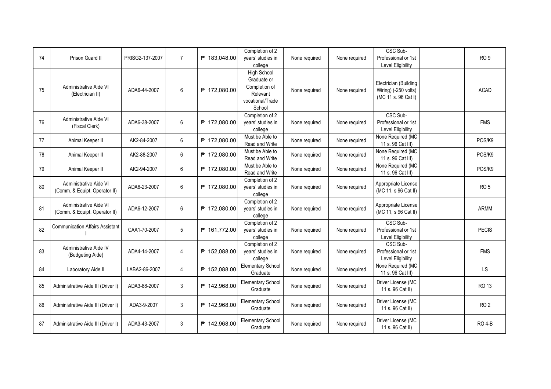| 74 | Prison Guard II                                         | PRISG2-137-2007 | $\overline{7}$ | ₱ 183,048.00 | Completion of 2<br>years' studies in<br>college                                       | None required | None required | CSC Sub-<br>Professional or 1st<br><b>Level Eligibility</b>          | RO <sub>9</sub> |
|----|---------------------------------------------------------|-----------------|----------------|--------------|---------------------------------------------------------------------------------------|---------------|---------------|----------------------------------------------------------------------|-----------------|
| 75 | Administrative Aide VI<br>(Electrician II)              | ADA6-44-2007    | 6              | ₱ 172,080.00 | High School<br>Graduate or<br>Completion of<br>Relevant<br>vocational/Trade<br>School | None required | None required | Electrician (Building<br>Wiring) (-250 volts)<br>(MC 11 s. 96 Cat I) | <b>ACAD</b>     |
| 76 | Administrative Aide VI<br>(Fiscal Clerk)                | ADA6-38-2007    | 6              | ₱ 172,080.00 | Completion of 2<br>years' studies in<br>college                                       | None required | None required | CSC Sub-<br>Professional or 1st<br><b>Level Eligibility</b>          | <b>FMS</b>      |
| 77 | Animal Keeper II                                        | AK2-84-2007     | 6              | ₱ 172,080.00 | Must be Able to<br>Read and Write                                                     | None required | None required | None Required (MC<br>11 s. 96 Cat III)                               | POS/K9          |
| 78 | Animal Keeper II                                        | AK2-88-2007     | 6              | ₱ 172,080.00 | Must be Able to<br>Read and Write                                                     | None required | None required | None Required (MC<br>11 s. 96 Cat III)                               | POS/K9          |
| 79 | Animal Keeper II                                        | AK2-94-2007     | 6              | ₱ 172,080.00 | Must be Able to<br>Read and Write                                                     | None required | None required | None Required (MC<br>11 s. 96 Cat III)                               | POS/K9          |
| 80 | Administrative Aide VI<br>(Comm. & Equipt. Operator II) | ADA6-23-2007    | 6              | ₱ 172,080.00 | Completion of 2<br>years' studies in<br>college                                       | None required | None required | Appropriate License<br>(MC 11, s 96 Cat II)                          | RO <sub>5</sub> |
| 81 | Administrative Aide VI<br>(Comm. & Equipt. Operator II) | ADA6-12-2007    | 6              | ₱ 172,080.00 | Completion of 2<br>years' studies in<br>college                                       | None required | None required | Appropriate License<br>(MC 11, s 96 Cat II)                          | <b>ARMM</b>     |
| 82 | <b>Communication Affairs Assistant</b>                  | CAA1-70-2007    | 5              | ₱ 161,772.00 | Completion of 2<br>years' studies in<br>college                                       | None required | None required | CSC Sub-<br>Professional or 1st<br><b>Level Eligibility</b>          | <b>PECIS</b>    |
| 83 | Administrative Aide IV<br>(Budgeting Aide)              | ADA4-14-2007    | 4              | ₱ 152,088.00 | Completion of 2<br>years' studies in<br>college                                       | None required | None required | CSC Sub-<br>Professional or 1st<br>Level Eligibility                 | <b>FMS</b>      |
| 84 | Laboratory Aide II                                      | LABA2-86-2007   | $\overline{4}$ | ₱ 152,088.00 | <b>Elementary School</b><br>Graduate                                                  | None required | None required | None Required (MC<br>11 s. 96 Cat III)                               | <b>LS</b>       |
| 85 | Administrative Aide III (Driver I)                      | ADA3-88-2007    | 3              | ₱ 142,968.00 | <b>Elementary School</b><br>Graduate                                                  | None required | None required | Driver License (MC<br>11 s. 96 Cat II)                               | <b>RO 13</b>    |
| 86 | Administrative Aide III (Driver I)                      | ADA3-9-2007     | 3              | ₱ 142.968.00 | <b>Elementary School</b><br>Graduate                                                  | None required | None required | Driver License (MC<br>11 s. 96 Cat II)                               | <b>RO2</b>      |
| 87 | Administrative Aide III (Driver I)                      | ADA3-43-2007    | 3              | ₱ 142,968.00 | <b>Elementary School</b><br>Graduate                                                  | None required | None required | Driver License (MC<br>11 s. 96 Cat II)                               | <b>RO 4-B</b>   |